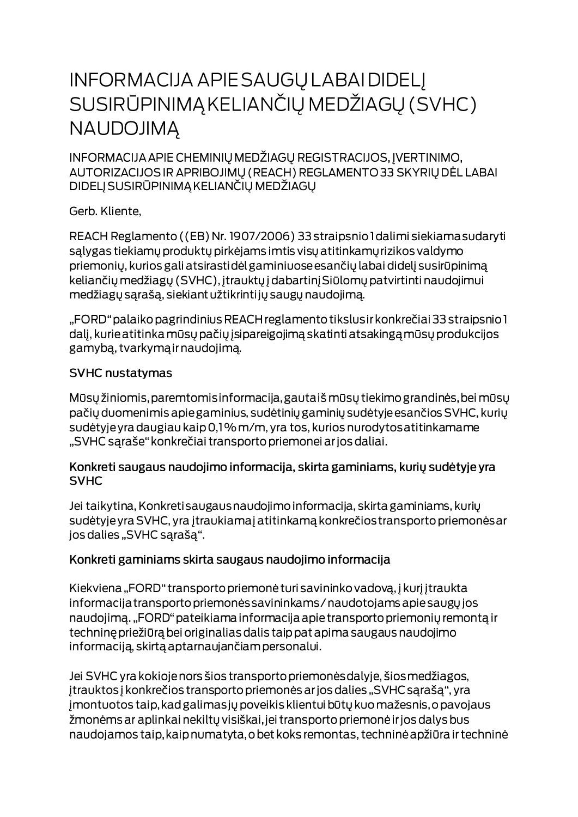# **INFORMACIJA APIE SAUGŲ LABAI DIDELĮ** SUSIRŪPINIMĄ KELIANČIŲ MEDŽIAGŲ (SVHC) **NAUDOJIMA**

INFORMACIJA APIE CHEMINIŲ MEDŽIAGŲ REGISTRACIJOS, ĮVERTINIMO, AUTORIZACIJOS IR APRIBOJIMŲ (REACH) REGLAMENTO 33 SKYRIŲ DĖL LABAI DIDELJ SUSIRŪPINIMĄ KELIANČIŲ MEDŽIAGŲ

Gerb. Kliente,

REACH Reglamento ((EB) Nr. 1907/2006) 33 straipsnio I dalimi siekiama sudaryti salygas tiekiamų produktų pirkėjams imtis visų atitinkamų rizikos valdymo priemonių, kurios gali atsirastidėl gaminiuose esančių labai didelį susirūpinimą keliančių medžiagų (SVHC), įtrauktų į dabartinį Siūlomų patvirtinti naudojimui medžiagų sąrašą, siekiant užtikrintijų saugų naudojimą.

"FORD" palaiko pagrindinius REACH reglamento tikslus ir konkrečiai 33 straipsnio 1 dalį, kurie atitinka mūsų pačių įsipareigojimą skatinti atsakingą mūsų produkcijos gamybą, tvarkymą ir naudojimą.

#### **SVHC nustatymas**

Mūsų žiniomis, paremtomis informacija, gautaiš mūsų tiekimo grandinės, bei mūsų pačių duomenimis apie gaminius, sudėtinių gaminių sudėtyje esančios SVHC, kurių sudėtyje yra daugiau kaip 0,1% m/m, yra tos, kurios nurodytos atitinkamame "SVHC sąraše" konkrečiai transporto priemonei ar jos daliai.

#### Konkreti saugaus naudojimo informacija, skirta gaminiams, kurių sudėtyje yra **SVHC**

Jei taikytina, Konkreti saugaus naudojimo informacija, skirta gaminiams, kurių sudėtyje yra SVHC, yra įtraukiamaj atitinkamą konkrečios transporto priemonės ar jos dalies "SVHC sąrašą".

### Konkreti gaminiams skirta saugaus naudojimo informacija

Kiekviena "FORD" transporto priemonė turi savininko vadovą, į kurį įtraukta informacija transporto priemonės savininkams / naudotojams apie saugų jos naudojimą. "FORD" pateikiama informacija apie transporto priemonių remontą ir techninę priežiūrą bei originalias dalis taip pat apima saugaus naudojimo informaciją, skirtą aptarnaujančiam personalui.

Jei SVHC yra kokioje nors šios transporto priemonės dalyje, šios medžiagos, įtrauktos į konkrečios transporto priemonės ar jos dalies "SVHC sąrašą", yra jmontuotos taip, kad galimas jų poveikis klientui būtų kuo mažesnis, o pavojaus žmonėms ar aplinkai nekiltų visiškai, jei transporto priemonė ir jos dalys bus naudojamos taip, kaip numatyta, o bet koks remontas, techninė apžiūra ir techninė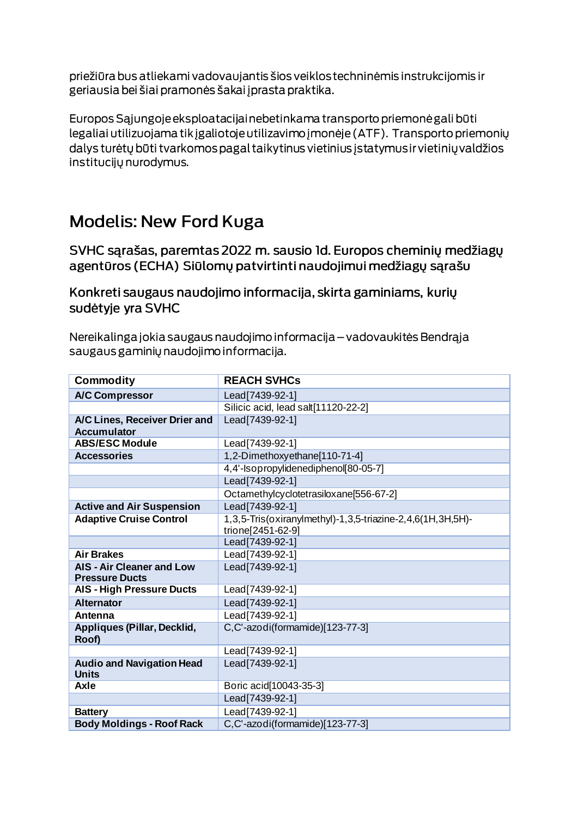priežiūra bus atliekami vadovaujantis šios veiklos techninėmis instrukcijomis ir geriausia bei šiai pramonės šakai į prasta praktika.

Europos Sąjungoje eksploatacijai nebetinkama transporto priemonė gali būti legaliai utilizuojama tik įgaliotoje utilizavimo įmonėje (ATF). Transporto priemonių dalys turėtų būti tvarkomos pagal taikytinus vietinius įstatymus ir vietinių valdžios institucijų nurodymus.

## **Modelis: New Ford Kuga**

SVHC sarašas, paremtas 2022 m. sausio 1d. Europos cheminių medžiagų agentūros (ECHA) Siūlomų patvirtinti naudojimui medžiagų sąrašu

Konkreti saugaus naudojimo informacija, skirta gaminiams, kurių sudėtyje yra SVHC

Nereikalinga jokia saugaus naudojimo informacija – vadovaukitės Bendrąja saugaus gaminių naudojimo informacija.

| <b>Commodity</b>                                          | <b>REACH SVHCs</b>                                         |
|-----------------------------------------------------------|------------------------------------------------------------|
| <b>A/C Compressor</b>                                     | Lead[7439-92-1]                                            |
|                                                           | Silicic acid, lead salt[11120-22-2]                        |
| A/C Lines, Receiver Drier and                             | Lead[7439-92-1]                                            |
| <b>Accumulator</b>                                        |                                                            |
| <b>ABS/ESC Module</b>                                     | Lead[7439-92-1]                                            |
| <b>Accessories</b>                                        | 1,2-Dimethoxyethane[110-71-4]                              |
|                                                           | 4,4'-Isopropylidenediphenol[80-05-7]                       |
|                                                           | Lead[7439-92-1]                                            |
|                                                           | Octamethylcyclotetrasiloxane[556-67-2]                     |
| <b>Active and Air Suspension</b>                          | Lead[7439-92-1]                                            |
| <b>Adaptive Cruise Control</b>                            | 1,3,5-Tris(oxiranylmethyl)-1,3,5-triazine-2,4,6(1H,3H,5H)- |
|                                                           | trione[2451-62-9]                                          |
|                                                           | Lead[7439-92-1]                                            |
| <b>Air Brakes</b>                                         | Lead[7439-92-1]                                            |
| <b>AIS - Air Cleaner and Low</b><br><b>Pressure Ducts</b> | Lead[7439-92-1]                                            |
| <b>AIS - High Pressure Ducts</b>                          | Lead[7439-92-1]                                            |
| <b>Alternator</b>                                         | Lead[7439-92-1]                                            |
| Antenna                                                   | Lead[7439-92-1]                                            |
| Appliques (Pillar, Decklid,<br>Roof)                      | C,C'-azodi(formamide)[123-77-3]                            |
|                                                           | Lead[7439-92-1]                                            |
| <b>Audio and Navigation Head</b><br><b>Units</b>          | Lead[7439-92-1]                                            |
| Axle                                                      | Boric acid[10043-35-3]                                     |
|                                                           | Lead[7439-92-1]                                            |
| <b>Battery</b>                                            | Lead [7439-92-1]                                           |
| <b>Body Moldings - Roof Rack</b>                          | C,C'-azodi(formamide)[123-77-3]                            |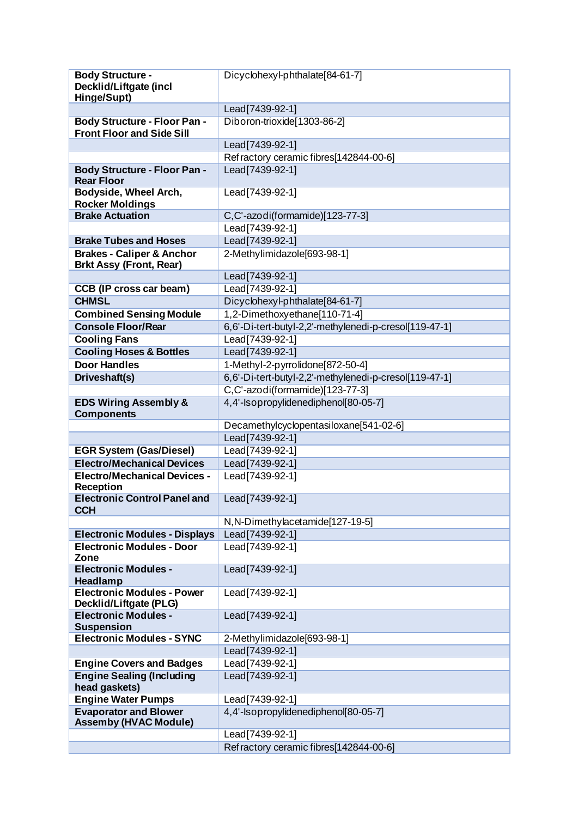| <b>Body Structure -</b>                                                  | Dicyclohexyl-phthalate[84-61-7]                        |
|--------------------------------------------------------------------------|--------------------------------------------------------|
| Decklid/Liftgate (incl                                                   |                                                        |
| Hinge/Supt)                                                              |                                                        |
| <b>Body Structure - Floor Pan -</b>                                      | Lead[7439-92-1]<br>Diboron-trioxide[1303-86-2]         |
| <b>Front Floor and Side Sill</b>                                         |                                                        |
|                                                                          | Lead[7439-92-1]                                        |
|                                                                          | Refractory ceramic fibres[142844-00-6]                 |
| <b>Body Structure - Floor Pan -</b><br><b>Rear Floor</b>                 | Lead[7439-92-1]                                        |
| Bodyside, Wheel Arch,<br><b>Rocker Moldings</b>                          | Lead[7439-92-1]                                        |
| <b>Brake Actuation</b>                                                   | C,C'-azodi(formamide)[123-77-3]                        |
|                                                                          | Lead[7439-92-1]                                        |
| <b>Brake Tubes and Hoses</b>                                             | Lead [7439-92-1]                                       |
| <b>Brakes - Caliper &amp; Anchor</b><br><b>Brkt Assy (Front, Rear)</b>   | 2-Methylimidazole[693-98-1]                            |
|                                                                          | Lead[7439-92-1]                                        |
| <b>CCB (IP cross car beam)</b>                                           | Lead[7439-92-1]                                        |
| <b>CHMSL</b>                                                             | Dicyclohexyl-phthalate[84-61-7]                        |
| <b>Combined Sensing Module</b>                                           | 1,2-Dimethoxyethane[110-71-4]                          |
| <b>Console Floor/Rear</b>                                                | 6,6'-Di-tert-butyl-2,2'-methylenedi-p-cresol[119-47-1] |
| <b>Cooling Fans</b>                                                      | Lead[7439-92-1]                                        |
| <b>Cooling Hoses &amp; Bottles</b>                                       | Lead [7439-92-1]                                       |
| <b>Door Handles</b>                                                      | 1-Methyl-2-pyrrolidone[872-50-4]                       |
| Driveshaft(s)                                                            | 6,6'-Di-tert-butyl-2,2'-methylenedi-p-cresol[119-47-1] |
|                                                                          | C,C'-azodi(formamide)[123-77-3]                        |
| <b>EDS Wiring Assembly &amp;</b>                                         | 4,4'-Isopropylidenediphenol[80-05-7]                   |
| <b>Components</b>                                                        |                                                        |
|                                                                          | Decamethylcyclopentasiloxane[541-02-6]                 |
|                                                                          | Lead[7439-92-1]                                        |
| <b>EGR System (Gas/Diesel)</b>                                           | Lead[7439-92-1]                                        |
| <b>Electro/Mechanical Devices</b><br><b>Electro/Mechanical Devices -</b> | Lead[7439-92-1]<br>Lead[7439-92-1]                     |
| <b>Reception</b>                                                         |                                                        |
| <b>Electronic Control Panel and</b><br><b>CCH</b>                        | Lead[7439-92-1]                                        |
|                                                                          | N, N-Dimethylacetamide[127-19-5]                       |
| <b>Electronic Modules - Displays</b>                                     | Lead[7439-92-1]                                        |
| <b>Electronic Modules - Door</b><br>Zone                                 | Lead[7439-92-1]                                        |
| <b>Electronic Modules -</b><br>Headlamp                                  | Lead[7439-92-1]                                        |
| <b>Electronic Modules - Power</b><br>Decklid/Liftgate (PLG)              | Lead [7439-92-1]                                       |
| <b>Electronic Modules -</b><br><b>Suspension</b>                         | Lead [7439-92-1]                                       |
| <b>Electronic Modules - SYNC</b>                                         | 2-Methylimidazole[693-98-1]                            |
|                                                                          | Lead[7439-92-1]                                        |
| <b>Engine Covers and Badges</b>                                          | Lead[7439-92-1]                                        |
| <b>Engine Sealing (Including</b><br>head gaskets)                        | Lead[7439-92-1]                                        |
| <b>Engine Water Pumps</b>                                                | Lead[7439-92-1]                                        |
| <b>Evaporator and Blower</b><br><b>Assemby (HVAC Module)</b>             | 4,4'-Isopropylidenediphenol[80-05-7]                   |
|                                                                          | Lead <sup>[7439-92-1]</sup>                            |
|                                                                          | Refractory ceramic fibres[142844-00-6]                 |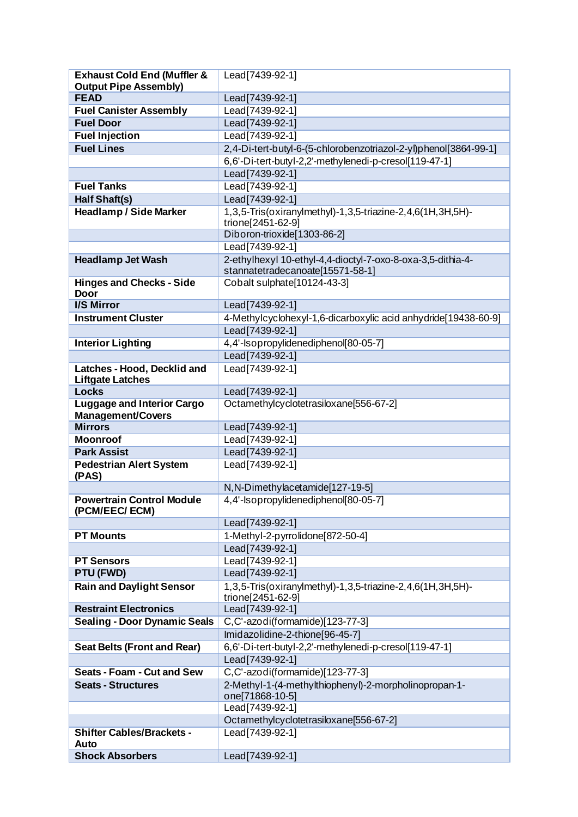| <b>FEAD</b><br>Lead[7439-92-1]<br>Lead [7439-92-1]<br><b>Fuel Canister Assembly</b><br><b>Fuel Door</b><br>Lead[7439-92-1]<br><b>Fuel Injection</b><br>Lead[7439-92-1]<br><b>Fuel Lines</b><br>2,4-Di-tert-butyl-6-(5-chlorobenzotriazol-2-yl)phenol[3864-99-1]<br>6,6'-Di-tert-butyl-2,2'-methylenedi-p-cresol[119-47-1]<br>Lead[7439-92-1]<br>Lead [7439-92-1]<br><b>Fuel Tanks</b><br>Lead [7439-92-1]<br>Half Shaft(s)<br><b>Headlamp / Side Marker</b><br>1,3,5-Tris(oxiranylmethyl)-1,3,5-triazine-2,4,6(1H,3H,5H)-<br>trione[2451-62-9]<br>Diboron-trioxide[1303-86-2]<br>Lead [7439-92-1]<br>2-ethylhexyl 10-ethyl-4,4-dioctyl-7-oxo-8-oxa-3,5-dithia-4-<br><b>Headlamp Jet Wash</b><br>stannatetradecanoate[15571-58-1]<br><b>Hinges and Checks - Side</b><br>Cobalt sulphate[10124-43-3]<br><b>Door</b><br><b>I/S Mirror</b><br>Lead[7439-92-1]<br><b>Instrument Cluster</b><br>4-Methylcyclohexyl-1,6-dicarboxylic acid anhydride[19438-60-9]<br>Lead[7439-92-1]<br>4,4'-Isopropylidenediphenol[80-05-7]<br><b>Interior Lighting</b><br>Lead[7439-92-1]<br>Latches - Hood, Decklid and<br>Lead   7439-92-1 ]<br><b>Liftgate Latches</b><br><b>Locks</b><br>Lead[7439-92-1]<br><b>Luggage and Interior Cargo</b><br>Octamethylcyclotetrasiloxane[556-67-2]<br><b>Management/Covers</b><br><b>Mirrors</b><br>Lead[7439-92-1]<br><b>Moonroof</b><br>Lead[7439-92-1]<br><b>Park Assist</b><br>Lead   7439-92-1  <br><b>Pedestrian Alert System</b><br>Lead[7439-92-1]<br>(PAS)<br>N, N-Dimethylacetamide[127-19-5]<br>4,4'-Isopropylidenediphenol[80-05-7]<br><b>Powertrain Control Module</b><br>(PCM/EEC/ECM)<br>Lead[7439-92-1]<br>1-Methyl-2-pyrrolidone[872-50-4]<br><b>PT Mounts</b><br>Lead[7439-92-1]<br>Lead [7439-92-1]<br><b>PT Sensors</b><br><b>PTU (FWD)</b><br>Lead [7439-92-1]<br>1,3,5-Tris(oxiranylmethyl)-1,3,5-triazine-2,4,6(1H,3H,5H)-<br><b>Rain and Daylight Sensor</b><br>trione[2451-62-9]<br><b>Restraint Electronics</b><br>Lead[7439-92-1]<br><b>Sealing - Door Dynamic Seals</b><br>C,C'-azodi(formamide)[123-77-3]<br>Imidazolidine-2-thione[96-45-7]<br>6,6'-Di-tert-butyl-2,2'-methylenedi-p-cresol[119-47-1]<br><b>Seat Belts (Front and Rear)</b><br>Lead[7439-92-1]<br>C,C'-azodi(formamide)[123-77-3]<br><b>Seats - Foam - Cut and Sew</b><br>2-Methyl-1-(4-methylthiophenyl)-2-morpholinopropan-1-<br><b>Seats - Structures</b><br>one[71868-10-5]<br>Lead[7439-92-1]<br>Octamethylcyclotetrasiloxane[556-67-2]<br><b>Shifter Cables/Brackets -</b><br>Lead[7439-92-1]<br>Auto<br><b>Shock Absorbers</b><br>Lead[7439-92-1] | <b>Exhaust Cold End (Muffler &amp;</b> | Lead[7439-92-1] |
|--------------------------------------------------------------------------------------------------------------------------------------------------------------------------------------------------------------------------------------------------------------------------------------------------------------------------------------------------------------------------------------------------------------------------------------------------------------------------------------------------------------------------------------------------------------------------------------------------------------------------------------------------------------------------------------------------------------------------------------------------------------------------------------------------------------------------------------------------------------------------------------------------------------------------------------------------------------------------------------------------------------------------------------------------------------------------------------------------------------------------------------------------------------------------------------------------------------------------------------------------------------------------------------------------------------------------------------------------------------------------------------------------------------------------------------------------------------------------------------------------------------------------------------------------------------------------------------------------------------------------------------------------------------------------------------------------------------------------------------------------------------------------------------------------------------------------------------------------------------------------------------------------------------------------------------------------------------------------------------------------------------------------------------------------------------------------------------------------------------------------------------------------------------------------------------------------------------------------------------------------------------------------------------------------------------------------------------------------------------------------------------------------------------------------------------------------------------------------------------------------------------------------------------------------------------------------|----------------------------------------|-----------------|
|                                                                                                                                                                                                                                                                                                                                                                                                                                                                                                                                                                                                                                                                                                                                                                                                                                                                                                                                                                                                                                                                                                                                                                                                                                                                                                                                                                                                                                                                                                                                                                                                                                                                                                                                                                                                                                                                                                                                                                                                                                                                                                                                                                                                                                                                                                                                                                                                                                                                                                                                                                          | <b>Output Pipe Assembly)</b>           |                 |
|                                                                                                                                                                                                                                                                                                                                                                                                                                                                                                                                                                                                                                                                                                                                                                                                                                                                                                                                                                                                                                                                                                                                                                                                                                                                                                                                                                                                                                                                                                                                                                                                                                                                                                                                                                                                                                                                                                                                                                                                                                                                                                                                                                                                                                                                                                                                                                                                                                                                                                                                                                          |                                        |                 |
|                                                                                                                                                                                                                                                                                                                                                                                                                                                                                                                                                                                                                                                                                                                                                                                                                                                                                                                                                                                                                                                                                                                                                                                                                                                                                                                                                                                                                                                                                                                                                                                                                                                                                                                                                                                                                                                                                                                                                                                                                                                                                                                                                                                                                                                                                                                                                                                                                                                                                                                                                                          |                                        |                 |
|                                                                                                                                                                                                                                                                                                                                                                                                                                                                                                                                                                                                                                                                                                                                                                                                                                                                                                                                                                                                                                                                                                                                                                                                                                                                                                                                                                                                                                                                                                                                                                                                                                                                                                                                                                                                                                                                                                                                                                                                                                                                                                                                                                                                                                                                                                                                                                                                                                                                                                                                                                          |                                        |                 |
|                                                                                                                                                                                                                                                                                                                                                                                                                                                                                                                                                                                                                                                                                                                                                                                                                                                                                                                                                                                                                                                                                                                                                                                                                                                                                                                                                                                                                                                                                                                                                                                                                                                                                                                                                                                                                                                                                                                                                                                                                                                                                                                                                                                                                                                                                                                                                                                                                                                                                                                                                                          |                                        |                 |
|                                                                                                                                                                                                                                                                                                                                                                                                                                                                                                                                                                                                                                                                                                                                                                                                                                                                                                                                                                                                                                                                                                                                                                                                                                                                                                                                                                                                                                                                                                                                                                                                                                                                                                                                                                                                                                                                                                                                                                                                                                                                                                                                                                                                                                                                                                                                                                                                                                                                                                                                                                          |                                        |                 |
|                                                                                                                                                                                                                                                                                                                                                                                                                                                                                                                                                                                                                                                                                                                                                                                                                                                                                                                                                                                                                                                                                                                                                                                                                                                                                                                                                                                                                                                                                                                                                                                                                                                                                                                                                                                                                                                                                                                                                                                                                                                                                                                                                                                                                                                                                                                                                                                                                                                                                                                                                                          |                                        |                 |
|                                                                                                                                                                                                                                                                                                                                                                                                                                                                                                                                                                                                                                                                                                                                                                                                                                                                                                                                                                                                                                                                                                                                                                                                                                                                                                                                                                                                                                                                                                                                                                                                                                                                                                                                                                                                                                                                                                                                                                                                                                                                                                                                                                                                                                                                                                                                                                                                                                                                                                                                                                          |                                        |                 |
|                                                                                                                                                                                                                                                                                                                                                                                                                                                                                                                                                                                                                                                                                                                                                                                                                                                                                                                                                                                                                                                                                                                                                                                                                                                                                                                                                                                                                                                                                                                                                                                                                                                                                                                                                                                                                                                                                                                                                                                                                                                                                                                                                                                                                                                                                                                                                                                                                                                                                                                                                                          |                                        |                 |
|                                                                                                                                                                                                                                                                                                                                                                                                                                                                                                                                                                                                                                                                                                                                                                                                                                                                                                                                                                                                                                                                                                                                                                                                                                                                                                                                                                                                                                                                                                                                                                                                                                                                                                                                                                                                                                                                                                                                                                                                                                                                                                                                                                                                                                                                                                                                                                                                                                                                                                                                                                          |                                        |                 |
|                                                                                                                                                                                                                                                                                                                                                                                                                                                                                                                                                                                                                                                                                                                                                                                                                                                                                                                                                                                                                                                                                                                                                                                                                                                                                                                                                                                                                                                                                                                                                                                                                                                                                                                                                                                                                                                                                                                                                                                                                                                                                                                                                                                                                                                                                                                                                                                                                                                                                                                                                                          |                                        |                 |
|                                                                                                                                                                                                                                                                                                                                                                                                                                                                                                                                                                                                                                                                                                                                                                                                                                                                                                                                                                                                                                                                                                                                                                                                                                                                                                                                                                                                                                                                                                                                                                                                                                                                                                                                                                                                                                                                                                                                                                                                                                                                                                                                                                                                                                                                                                                                                                                                                                                                                                                                                                          |                                        |                 |
|                                                                                                                                                                                                                                                                                                                                                                                                                                                                                                                                                                                                                                                                                                                                                                                                                                                                                                                                                                                                                                                                                                                                                                                                                                                                                                                                                                                                                                                                                                                                                                                                                                                                                                                                                                                                                                                                                                                                                                                                                                                                                                                                                                                                                                                                                                                                                                                                                                                                                                                                                                          |                                        |                 |
|                                                                                                                                                                                                                                                                                                                                                                                                                                                                                                                                                                                                                                                                                                                                                                                                                                                                                                                                                                                                                                                                                                                                                                                                                                                                                                                                                                                                                                                                                                                                                                                                                                                                                                                                                                                                                                                                                                                                                                                                                                                                                                                                                                                                                                                                                                                                                                                                                                                                                                                                                                          |                                        |                 |
|                                                                                                                                                                                                                                                                                                                                                                                                                                                                                                                                                                                                                                                                                                                                                                                                                                                                                                                                                                                                                                                                                                                                                                                                                                                                                                                                                                                                                                                                                                                                                                                                                                                                                                                                                                                                                                                                                                                                                                                                                                                                                                                                                                                                                                                                                                                                                                                                                                                                                                                                                                          |                                        |                 |
|                                                                                                                                                                                                                                                                                                                                                                                                                                                                                                                                                                                                                                                                                                                                                                                                                                                                                                                                                                                                                                                                                                                                                                                                                                                                                                                                                                                                                                                                                                                                                                                                                                                                                                                                                                                                                                                                                                                                                                                                                                                                                                                                                                                                                                                                                                                                                                                                                                                                                                                                                                          |                                        |                 |
|                                                                                                                                                                                                                                                                                                                                                                                                                                                                                                                                                                                                                                                                                                                                                                                                                                                                                                                                                                                                                                                                                                                                                                                                                                                                                                                                                                                                                                                                                                                                                                                                                                                                                                                                                                                                                                                                                                                                                                                                                                                                                                                                                                                                                                                                                                                                                                                                                                                                                                                                                                          |                                        |                 |
|                                                                                                                                                                                                                                                                                                                                                                                                                                                                                                                                                                                                                                                                                                                                                                                                                                                                                                                                                                                                                                                                                                                                                                                                                                                                                                                                                                                                                                                                                                                                                                                                                                                                                                                                                                                                                                                                                                                                                                                                                                                                                                                                                                                                                                                                                                                                                                                                                                                                                                                                                                          |                                        |                 |
|                                                                                                                                                                                                                                                                                                                                                                                                                                                                                                                                                                                                                                                                                                                                                                                                                                                                                                                                                                                                                                                                                                                                                                                                                                                                                                                                                                                                                                                                                                                                                                                                                                                                                                                                                                                                                                                                                                                                                                                                                                                                                                                                                                                                                                                                                                                                                                                                                                                                                                                                                                          |                                        |                 |
|                                                                                                                                                                                                                                                                                                                                                                                                                                                                                                                                                                                                                                                                                                                                                                                                                                                                                                                                                                                                                                                                                                                                                                                                                                                                                                                                                                                                                                                                                                                                                                                                                                                                                                                                                                                                                                                                                                                                                                                                                                                                                                                                                                                                                                                                                                                                                                                                                                                                                                                                                                          |                                        |                 |
|                                                                                                                                                                                                                                                                                                                                                                                                                                                                                                                                                                                                                                                                                                                                                                                                                                                                                                                                                                                                                                                                                                                                                                                                                                                                                                                                                                                                                                                                                                                                                                                                                                                                                                                                                                                                                                                                                                                                                                                                                                                                                                                                                                                                                                                                                                                                                                                                                                                                                                                                                                          |                                        |                 |
|                                                                                                                                                                                                                                                                                                                                                                                                                                                                                                                                                                                                                                                                                                                                                                                                                                                                                                                                                                                                                                                                                                                                                                                                                                                                                                                                                                                                                                                                                                                                                                                                                                                                                                                                                                                                                                                                                                                                                                                                                                                                                                                                                                                                                                                                                                                                                                                                                                                                                                                                                                          |                                        |                 |
|                                                                                                                                                                                                                                                                                                                                                                                                                                                                                                                                                                                                                                                                                                                                                                                                                                                                                                                                                                                                                                                                                                                                                                                                                                                                                                                                                                                                                                                                                                                                                                                                                                                                                                                                                                                                                                                                                                                                                                                                                                                                                                                                                                                                                                                                                                                                                                                                                                                                                                                                                                          |                                        |                 |
|                                                                                                                                                                                                                                                                                                                                                                                                                                                                                                                                                                                                                                                                                                                                                                                                                                                                                                                                                                                                                                                                                                                                                                                                                                                                                                                                                                                                                                                                                                                                                                                                                                                                                                                                                                                                                                                                                                                                                                                                                                                                                                                                                                                                                                                                                                                                                                                                                                                                                                                                                                          |                                        |                 |
|                                                                                                                                                                                                                                                                                                                                                                                                                                                                                                                                                                                                                                                                                                                                                                                                                                                                                                                                                                                                                                                                                                                                                                                                                                                                                                                                                                                                                                                                                                                                                                                                                                                                                                                                                                                                                                                                                                                                                                                                                                                                                                                                                                                                                                                                                                                                                                                                                                                                                                                                                                          |                                        |                 |
|                                                                                                                                                                                                                                                                                                                                                                                                                                                                                                                                                                                                                                                                                                                                                                                                                                                                                                                                                                                                                                                                                                                                                                                                                                                                                                                                                                                                                                                                                                                                                                                                                                                                                                                                                                                                                                                                                                                                                                                                                                                                                                                                                                                                                                                                                                                                                                                                                                                                                                                                                                          |                                        |                 |
|                                                                                                                                                                                                                                                                                                                                                                                                                                                                                                                                                                                                                                                                                                                                                                                                                                                                                                                                                                                                                                                                                                                                                                                                                                                                                                                                                                                                                                                                                                                                                                                                                                                                                                                                                                                                                                                                                                                                                                                                                                                                                                                                                                                                                                                                                                                                                                                                                                                                                                                                                                          |                                        |                 |
|                                                                                                                                                                                                                                                                                                                                                                                                                                                                                                                                                                                                                                                                                                                                                                                                                                                                                                                                                                                                                                                                                                                                                                                                                                                                                                                                                                                                                                                                                                                                                                                                                                                                                                                                                                                                                                                                                                                                                                                                                                                                                                                                                                                                                                                                                                                                                                                                                                                                                                                                                                          |                                        |                 |
|                                                                                                                                                                                                                                                                                                                                                                                                                                                                                                                                                                                                                                                                                                                                                                                                                                                                                                                                                                                                                                                                                                                                                                                                                                                                                                                                                                                                                                                                                                                                                                                                                                                                                                                                                                                                                                                                                                                                                                                                                                                                                                                                                                                                                                                                                                                                                                                                                                                                                                                                                                          |                                        |                 |
|                                                                                                                                                                                                                                                                                                                                                                                                                                                                                                                                                                                                                                                                                                                                                                                                                                                                                                                                                                                                                                                                                                                                                                                                                                                                                                                                                                                                                                                                                                                                                                                                                                                                                                                                                                                                                                                                                                                                                                                                                                                                                                                                                                                                                                                                                                                                                                                                                                                                                                                                                                          |                                        |                 |
|                                                                                                                                                                                                                                                                                                                                                                                                                                                                                                                                                                                                                                                                                                                                                                                                                                                                                                                                                                                                                                                                                                                                                                                                                                                                                                                                                                                                                                                                                                                                                                                                                                                                                                                                                                                                                                                                                                                                                                                                                                                                                                                                                                                                                                                                                                                                                                                                                                                                                                                                                                          |                                        |                 |
|                                                                                                                                                                                                                                                                                                                                                                                                                                                                                                                                                                                                                                                                                                                                                                                                                                                                                                                                                                                                                                                                                                                                                                                                                                                                                                                                                                                                                                                                                                                                                                                                                                                                                                                                                                                                                                                                                                                                                                                                                                                                                                                                                                                                                                                                                                                                                                                                                                                                                                                                                                          |                                        |                 |
|                                                                                                                                                                                                                                                                                                                                                                                                                                                                                                                                                                                                                                                                                                                                                                                                                                                                                                                                                                                                                                                                                                                                                                                                                                                                                                                                                                                                                                                                                                                                                                                                                                                                                                                                                                                                                                                                                                                                                                                                                                                                                                                                                                                                                                                                                                                                                                                                                                                                                                                                                                          |                                        |                 |
|                                                                                                                                                                                                                                                                                                                                                                                                                                                                                                                                                                                                                                                                                                                                                                                                                                                                                                                                                                                                                                                                                                                                                                                                                                                                                                                                                                                                                                                                                                                                                                                                                                                                                                                                                                                                                                                                                                                                                                                                                                                                                                                                                                                                                                                                                                                                                                                                                                                                                                                                                                          |                                        |                 |
|                                                                                                                                                                                                                                                                                                                                                                                                                                                                                                                                                                                                                                                                                                                                                                                                                                                                                                                                                                                                                                                                                                                                                                                                                                                                                                                                                                                                                                                                                                                                                                                                                                                                                                                                                                                                                                                                                                                                                                                                                                                                                                                                                                                                                                                                                                                                                                                                                                                                                                                                                                          |                                        |                 |
|                                                                                                                                                                                                                                                                                                                                                                                                                                                                                                                                                                                                                                                                                                                                                                                                                                                                                                                                                                                                                                                                                                                                                                                                                                                                                                                                                                                                                                                                                                                                                                                                                                                                                                                                                                                                                                                                                                                                                                                                                                                                                                                                                                                                                                                                                                                                                                                                                                                                                                                                                                          |                                        |                 |
|                                                                                                                                                                                                                                                                                                                                                                                                                                                                                                                                                                                                                                                                                                                                                                                                                                                                                                                                                                                                                                                                                                                                                                                                                                                                                                                                                                                                                                                                                                                                                                                                                                                                                                                                                                                                                                                                                                                                                                                                                                                                                                                                                                                                                                                                                                                                                                                                                                                                                                                                                                          |                                        |                 |
|                                                                                                                                                                                                                                                                                                                                                                                                                                                                                                                                                                                                                                                                                                                                                                                                                                                                                                                                                                                                                                                                                                                                                                                                                                                                                                                                                                                                                                                                                                                                                                                                                                                                                                                                                                                                                                                                                                                                                                                                                                                                                                                                                                                                                                                                                                                                                                                                                                                                                                                                                                          |                                        |                 |
|                                                                                                                                                                                                                                                                                                                                                                                                                                                                                                                                                                                                                                                                                                                                                                                                                                                                                                                                                                                                                                                                                                                                                                                                                                                                                                                                                                                                                                                                                                                                                                                                                                                                                                                                                                                                                                                                                                                                                                                                                                                                                                                                                                                                                                                                                                                                                                                                                                                                                                                                                                          |                                        |                 |
|                                                                                                                                                                                                                                                                                                                                                                                                                                                                                                                                                                                                                                                                                                                                                                                                                                                                                                                                                                                                                                                                                                                                                                                                                                                                                                                                                                                                                                                                                                                                                                                                                                                                                                                                                                                                                                                                                                                                                                                                                                                                                                                                                                                                                                                                                                                                                                                                                                                                                                                                                                          |                                        |                 |
|                                                                                                                                                                                                                                                                                                                                                                                                                                                                                                                                                                                                                                                                                                                                                                                                                                                                                                                                                                                                                                                                                                                                                                                                                                                                                                                                                                                                                                                                                                                                                                                                                                                                                                                                                                                                                                                                                                                                                                                                                                                                                                                                                                                                                                                                                                                                                                                                                                                                                                                                                                          |                                        |                 |
|                                                                                                                                                                                                                                                                                                                                                                                                                                                                                                                                                                                                                                                                                                                                                                                                                                                                                                                                                                                                                                                                                                                                                                                                                                                                                                                                                                                                                                                                                                                                                                                                                                                                                                                                                                                                                                                                                                                                                                                                                                                                                                                                                                                                                                                                                                                                                                                                                                                                                                                                                                          |                                        |                 |
|                                                                                                                                                                                                                                                                                                                                                                                                                                                                                                                                                                                                                                                                                                                                                                                                                                                                                                                                                                                                                                                                                                                                                                                                                                                                                                                                                                                                                                                                                                                                                                                                                                                                                                                                                                                                                                                                                                                                                                                                                                                                                                                                                                                                                                                                                                                                                                                                                                                                                                                                                                          |                                        |                 |
|                                                                                                                                                                                                                                                                                                                                                                                                                                                                                                                                                                                                                                                                                                                                                                                                                                                                                                                                                                                                                                                                                                                                                                                                                                                                                                                                                                                                                                                                                                                                                                                                                                                                                                                                                                                                                                                                                                                                                                                                                                                                                                                                                                                                                                                                                                                                                                                                                                                                                                                                                                          |                                        |                 |
|                                                                                                                                                                                                                                                                                                                                                                                                                                                                                                                                                                                                                                                                                                                                                                                                                                                                                                                                                                                                                                                                                                                                                                                                                                                                                                                                                                                                                                                                                                                                                                                                                                                                                                                                                                                                                                                                                                                                                                                                                                                                                                                                                                                                                                                                                                                                                                                                                                                                                                                                                                          |                                        |                 |
|                                                                                                                                                                                                                                                                                                                                                                                                                                                                                                                                                                                                                                                                                                                                                                                                                                                                                                                                                                                                                                                                                                                                                                                                                                                                                                                                                                                                                                                                                                                                                                                                                                                                                                                                                                                                                                                                                                                                                                                                                                                                                                                                                                                                                                                                                                                                                                                                                                                                                                                                                                          |                                        |                 |
|                                                                                                                                                                                                                                                                                                                                                                                                                                                                                                                                                                                                                                                                                                                                                                                                                                                                                                                                                                                                                                                                                                                                                                                                                                                                                                                                                                                                                                                                                                                                                                                                                                                                                                                                                                                                                                                                                                                                                                                                                                                                                                                                                                                                                                                                                                                                                                                                                                                                                                                                                                          |                                        |                 |
|                                                                                                                                                                                                                                                                                                                                                                                                                                                                                                                                                                                                                                                                                                                                                                                                                                                                                                                                                                                                                                                                                                                                                                                                                                                                                                                                                                                                                                                                                                                                                                                                                                                                                                                                                                                                                                                                                                                                                                                                                                                                                                                                                                                                                                                                                                                                                                                                                                                                                                                                                                          |                                        |                 |
|                                                                                                                                                                                                                                                                                                                                                                                                                                                                                                                                                                                                                                                                                                                                                                                                                                                                                                                                                                                                                                                                                                                                                                                                                                                                                                                                                                                                                                                                                                                                                                                                                                                                                                                                                                                                                                                                                                                                                                                                                                                                                                                                                                                                                                                                                                                                                                                                                                                                                                                                                                          |                                        |                 |
|                                                                                                                                                                                                                                                                                                                                                                                                                                                                                                                                                                                                                                                                                                                                                                                                                                                                                                                                                                                                                                                                                                                                                                                                                                                                                                                                                                                                                                                                                                                                                                                                                                                                                                                                                                                                                                                                                                                                                                                                                                                                                                                                                                                                                                                                                                                                                                                                                                                                                                                                                                          |                                        |                 |
|                                                                                                                                                                                                                                                                                                                                                                                                                                                                                                                                                                                                                                                                                                                                                                                                                                                                                                                                                                                                                                                                                                                                                                                                                                                                                                                                                                                                                                                                                                                                                                                                                                                                                                                                                                                                                                                                                                                                                                                                                                                                                                                                                                                                                                                                                                                                                                                                                                                                                                                                                                          |                                        |                 |
|                                                                                                                                                                                                                                                                                                                                                                                                                                                                                                                                                                                                                                                                                                                                                                                                                                                                                                                                                                                                                                                                                                                                                                                                                                                                                                                                                                                                                                                                                                                                                                                                                                                                                                                                                                                                                                                                                                                                                                                                                                                                                                                                                                                                                                                                                                                                                                                                                                                                                                                                                                          |                                        |                 |